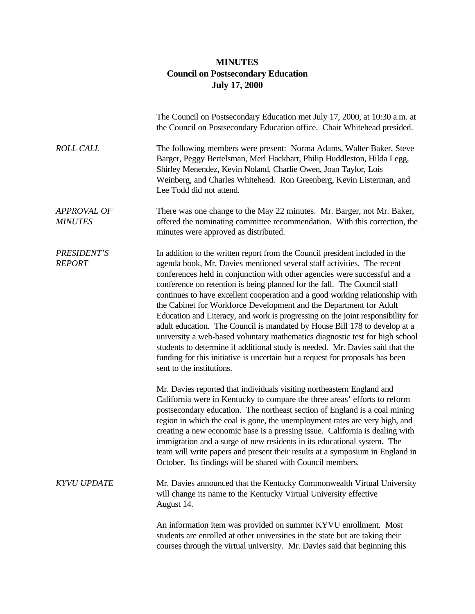## **MINUTES Council on Postsecondary Education July 17, 2000**

|                                      | The Council on Postsecondary Education met July 17, 2000, at 10:30 a.m. at<br>the Council on Postsecondary Education office. Chair Whitehead presided.                                                                                                                                                                                                                                                                                                                                                                                                                                                                                                                                                                                                                                                                                                                                                                |
|--------------------------------------|-----------------------------------------------------------------------------------------------------------------------------------------------------------------------------------------------------------------------------------------------------------------------------------------------------------------------------------------------------------------------------------------------------------------------------------------------------------------------------------------------------------------------------------------------------------------------------------------------------------------------------------------------------------------------------------------------------------------------------------------------------------------------------------------------------------------------------------------------------------------------------------------------------------------------|
| <b>ROLL CALL</b>                     | The following members were present: Norma Adams, Walter Baker, Steve<br>Barger, Peggy Bertelsman, Merl Hackbart, Philip Huddleston, Hilda Legg,<br>Shirley Menendez, Kevin Noland, Charlie Owen, Joan Taylor, Lois<br>Weinberg, and Charles Whitehead. Ron Greenberg, Kevin Listerman, and<br>Lee Todd did not attend.                                                                                                                                                                                                                                                                                                                                                                                                                                                                                                                                                                                                |
| <b>APPROVAL OF</b><br><b>MINUTES</b> | There was one change to the May 22 minutes. Mr. Barger, not Mr. Baker,<br>offered the nominating committee recommendation. With this correction, the<br>minutes were approved as distributed.                                                                                                                                                                                                                                                                                                                                                                                                                                                                                                                                                                                                                                                                                                                         |
| <b>PRESIDENT'S</b><br><b>REPORT</b>  | In addition to the written report from the Council president included in the<br>agenda book, Mr. Davies mentioned several staff activities. The recent<br>conferences held in conjunction with other agencies were successful and a<br>conference on retention is being planned for the fall. The Council staff<br>continues to have excellent cooperation and a good working relationship with<br>the Cabinet for Workforce Development and the Department for Adult<br>Education and Literacy, and work is progressing on the joint responsibility for<br>adult education. The Council is mandated by House Bill 178 to develop at a<br>university a web-based voluntary mathematics diagnostic test for high school<br>students to determine if additional study is needed. Mr. Davies said that the<br>funding for this initiative is uncertain but a request for proposals has been<br>sent to the institutions. |
|                                      | Mr. Davies reported that individuals visiting northeastern England and<br>California were in Kentucky to compare the three areas' efforts to reform<br>postsecondary education. The northeast section of England is a coal mining<br>region in which the coal is gone, the unemployment rates are very high, and<br>creating a new economic base is a pressing issue. California is dealing with<br>immigration and a surge of new residents in its educational system. The<br>team will write papers and present their results at a symposium in England in<br>October. Its findings will be shared with Council members.                                                                                                                                                                                                                                                                                            |
| <b>KYVU UPDATE</b>                   | Mr. Davies announced that the Kentucky Commonwealth Virtual University<br>will change its name to the Kentucky Virtual University effective<br>August 14.                                                                                                                                                                                                                                                                                                                                                                                                                                                                                                                                                                                                                                                                                                                                                             |
|                                      | An information item was provided on summer KYVU enrollment. Most<br>students are enrolled at other universities in the state but are taking their<br>courses through the virtual university. Mr. Davies said that beginning this                                                                                                                                                                                                                                                                                                                                                                                                                                                                                                                                                                                                                                                                                      |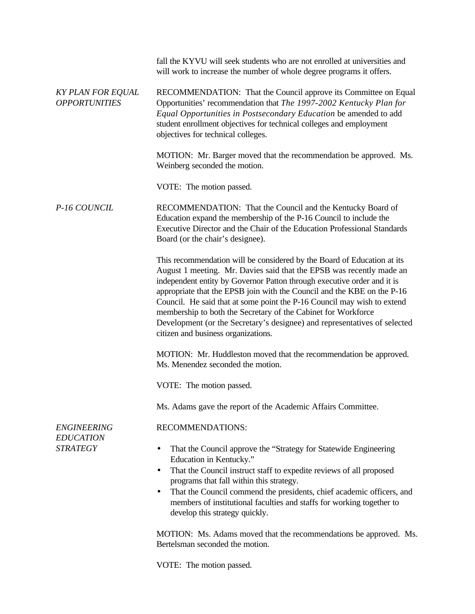*KY PLAN FOR EQUAL OPPORTUNITIES P-16 COUNCIL ENGINEERING EDUCATION STRATEGY* fall the KYVU will seek students who are not enrolled at universities and will work to increase the number of whole degree programs it offers. RECOMMENDATION: That the Council approve its Committee on Equal Opportunities' recommendation that *The 1997-2002 Kentucky Plan for Equal Opportunities in Postsecondary Education* be amended to add student enrollment objectives for technical colleges and employment objectives for technical colleges. MOTION: Mr. Barger moved that the recommendation be approved. Ms. Weinberg seconded the motion. VOTE: The motion passed. RECOMMENDATION: That the Council and the Kentucky Board of Education expand the membership of the P-16 Council to include the Executive Director and the Chair of the Education Professional Standards Board (or the chair's designee). This recommendation will be considered by the Board of Education at its August 1 meeting. Mr. Davies said that the EPSB was recently made an independent entity by Governor Patton through executive order and it is appropriate that the EPSB join with the Council and the KBE on the P-16 Council. He said that at some point the P-16 Council may wish to extend membership to both the Secretary of the Cabinet for Workforce Development (or the Secretary's designee) and representatives of selected citizen and business organizations. MOTION: Mr. Huddleston moved that the recommendation be approved. Ms. Menendez seconded the motion. VOTE: The motion passed. Ms. Adams gave the report of the Academic Affairs Committee. RECOMMENDATIONS: • That the Council approve the "Strategy for Statewide Engineering Education in Kentucky." • That the Council instruct staff to expedite reviews of all proposed programs that fall within this strategy. • That the Council commend the presidents, chief academic officers, and members of institutional faculties and staffs for working together to develop this strategy quickly. MOTION: Ms. Adams moved that the recommendations be approved. Ms. Bertelsman seconded the motion.

VOTE: The motion passed.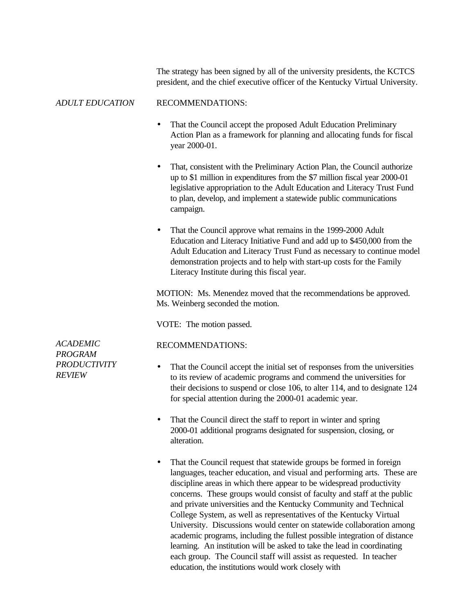The strategy has been signed by all of the university presidents, the KCTCS president, and the chief executive officer of the Kentucky Virtual University.

## *ADULT EDUCATION* RECOMMENDATIONS:

- That the Council accept the proposed Adult Education Preliminary Action Plan as a framework for planning and allocating funds for fiscal year 2000-01.
- That, consistent with the Preliminary Action Plan, the Council authorize up to \$1 million in expenditures from the \$7 million fiscal year 2000-01 legislative appropriation to the Adult Education and Literacy Trust Fund to plan, develop, and implement a statewide public communications campaign.
- That the Council approve what remains in the 1999-2000 Adult Education and Literacy Initiative Fund and add up to \$450,000 from the Adult Education and Literacy Trust Fund as necessary to continue model demonstration projects and to help with start-up costs for the Family Literacy Institute during this fiscal year.

MOTION: Ms. Menendez moved that the recommendations be approved. Ms. Weinberg seconded the motion.

VOTE: The motion passed.

RECOMMENDATIONS:

*ACADEMIC PROGRAM PRODUCTIVITY REVIEW*

- That the Council accept the initial set of responses from the universities to its review of academic programs and commend the universities for their decisions to suspend or close 106, to alter 114, and to designate 124
	- That the Council direct the staff to report in winter and spring 2000-01 additional programs designated for suspension, closing, or alteration.

for special attention during the 2000-01 academic year.

That the Council request that statewide groups be formed in foreign languages, teacher education, and visual and performing arts. These are discipline areas in which there appear to be widespread productivity concerns. These groups would consist of faculty and staff at the public and private universities and the Kentucky Community and Technical College System, as well as representatives of the Kentucky Virtual University. Discussions would center on statewide collaboration among academic programs, including the fullest possible integration of distance learning. An institution will be asked to take the lead in coordinating each group. The Council staff will assist as requested. In teacher education, the institutions would work closely with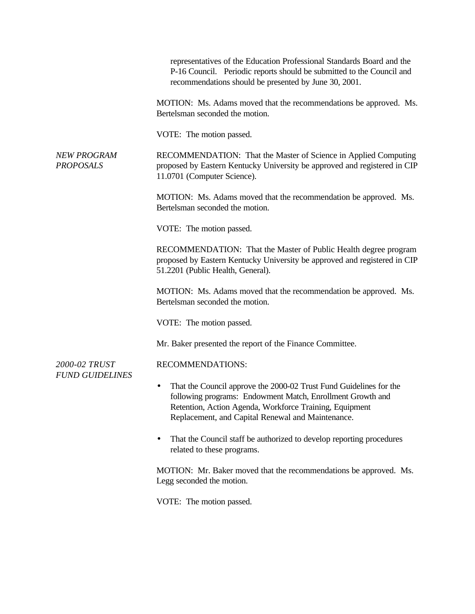|                                        | representatives of the Education Professional Standards Board and the<br>P-16 Council. Periodic reports should be submitted to the Council and<br>recommendations should be presented by June 30, 2001.                                          |
|----------------------------------------|--------------------------------------------------------------------------------------------------------------------------------------------------------------------------------------------------------------------------------------------------|
|                                        | MOTION: Ms. Adams moved that the recommendations be approved. Ms.<br>Bertelsman seconded the motion.                                                                                                                                             |
|                                        | VOTE: The motion passed.                                                                                                                                                                                                                         |
| <b>NEW PROGRAM</b><br><b>PROPOSALS</b> | RECOMMENDATION: That the Master of Science in Applied Computing<br>proposed by Eastern Kentucky University be approved and registered in CIP<br>11.0701 (Computer Science).                                                                      |
|                                        | MOTION: Ms. Adams moved that the recommendation be approved. Ms.<br>Bertelsman seconded the motion.                                                                                                                                              |
|                                        | VOTE: The motion passed.                                                                                                                                                                                                                         |
|                                        | RECOMMENDATION: That the Master of Public Health degree program<br>proposed by Eastern Kentucky University be approved and registered in CIP<br>51.2201 (Public Health, General).                                                                |
|                                        | MOTION: Ms. Adams moved that the recommendation be approved. Ms.<br>Bertelsman seconded the motion.                                                                                                                                              |
|                                        | VOTE: The motion passed.                                                                                                                                                                                                                         |
|                                        | Mr. Baker presented the report of the Finance Committee.                                                                                                                                                                                         |
| 2000-02 TRUST                          | <b>RECOMMENDATIONS:</b>                                                                                                                                                                                                                          |
| <b>FUND GUIDELINES</b>                 | That the Council approve the 2000-02 Trust Fund Guidelines for the<br>following programs: Endowment Match, Enrollment Growth and<br>Retention, Action Agenda, Workforce Training, Equipment<br>Replacement, and Capital Renewal and Maintenance. |
|                                        | That the Council staff be authorized to develop reporting procedures<br>related to these programs.                                                                                                                                               |
|                                        | MOTION: Mr. Baker moved that the recommendations be approved. Ms.<br>Legg seconded the motion.                                                                                                                                                   |
|                                        | VOTE: The motion passed.                                                                                                                                                                                                                         |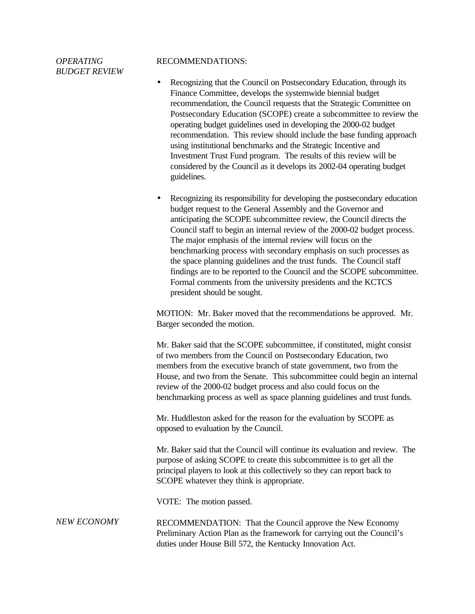*OPERATING BUDGET REVIEW*

## RECOMMENDATIONS:

- Recognizing that the Council on Postsecondary Education, through its Finance Committee, develops the systemwide biennial budget recommendation, the Council requests that the Strategic Committee on Postsecondary Education (SCOPE) create a subcommittee to review the operating budget guidelines used in developing the 2000-02 budget recommendation. This review should include the base funding approach using institutional benchmarks and the Strategic Incentive and Investment Trust Fund program. The results of this review will be considered by the Council as it develops its 2002-04 operating budget guidelines.
- Recognizing its responsibility for developing the postsecondary education budget request to the General Assembly and the Governor and anticipating the SCOPE subcommittee review, the Council directs the Council staff to begin an internal review of the 2000-02 budget process. The major emphasis of the internal review will focus on the benchmarking process with secondary emphasis on such processes as the space planning guidelines and the trust funds. The Council staff findings are to be reported to the Council and the SCOPE subcommittee. Formal comments from the university presidents and the KCTCS president should be sought.

MOTION: Mr. Baker moved that the recommendations be approved. Mr. Barger seconded the motion.

Mr. Baker said that the SCOPE subcommittee, if constituted, might consist of two members from the Council on Postsecondary Education, two members from the executive branch of state government, two from the House, and two from the Senate. This subcommittee could begin an internal review of the 2000-02 budget process and also could focus on the benchmarking process as well as space planning guidelines and trust funds.

Mr. Huddleston asked for the reason for the evaluation by SCOPE as opposed to evaluation by the Council.

Mr. Baker said that the Council will continue its evaluation and review. The purpose of asking SCOPE to create this subcommittee is to get all the principal players to look at this collectively so they can report back to SCOPE whatever they think is appropriate.

VOTE: The motion passed.

## *NEW ECONOMY* RECOMMENDATION: That the Council approve the New Economy Preliminary Action Plan as the framework for carrying out the Council's duties under House Bill 572, the Kentucky Innovation Act.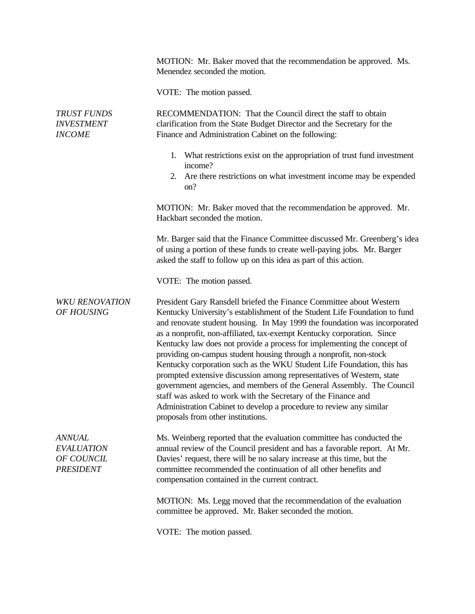|                                                                      | MOTION: Mr. Baker moved that the recommendation be approved. Ms.<br>Menendez seconded the motion.                                                                                                                                                                                                                                                                                                                                                                                                                                                                                                                                                                                                                                                                                                                                                                   |
|----------------------------------------------------------------------|---------------------------------------------------------------------------------------------------------------------------------------------------------------------------------------------------------------------------------------------------------------------------------------------------------------------------------------------------------------------------------------------------------------------------------------------------------------------------------------------------------------------------------------------------------------------------------------------------------------------------------------------------------------------------------------------------------------------------------------------------------------------------------------------------------------------------------------------------------------------|
|                                                                      | VOTE: The motion passed.                                                                                                                                                                                                                                                                                                                                                                                                                                                                                                                                                                                                                                                                                                                                                                                                                                            |
| <b>TRUST FUNDS</b><br><b>INVESTMENT</b><br><b>INCOME</b>             | RECOMMENDATION: That the Council direct the staff to obtain<br>clarification from the State Budget Director and the Secretary for the<br>Finance and Administration Cabinet on the following:                                                                                                                                                                                                                                                                                                                                                                                                                                                                                                                                                                                                                                                                       |
|                                                                      | 1. What restrictions exist on the appropriation of trust fund investment<br>income?<br>Are there restrictions on what investment income may be expended<br>2.<br>on?                                                                                                                                                                                                                                                                                                                                                                                                                                                                                                                                                                                                                                                                                                |
|                                                                      | MOTION: Mr. Baker moved that the recommendation be approved. Mr.<br>Hackbart seconded the motion.                                                                                                                                                                                                                                                                                                                                                                                                                                                                                                                                                                                                                                                                                                                                                                   |
|                                                                      | Mr. Barger said that the Finance Committee discussed Mr. Greenberg's idea<br>of using a portion of these funds to create well-paying jobs. Mr. Barger<br>asked the staff to follow up on this idea as part of this action.                                                                                                                                                                                                                                                                                                                                                                                                                                                                                                                                                                                                                                          |
|                                                                      | VOTE: The motion passed.                                                                                                                                                                                                                                                                                                                                                                                                                                                                                                                                                                                                                                                                                                                                                                                                                                            |
| <b>WKU RENOVATION</b><br>OF HOUSING                                  | President Gary Ransdell briefed the Finance Committee about Western<br>Kentucky University's establishment of the Student Life Foundation to fund<br>and renovate student housing. In May 1999 the foundation was incorporated<br>as a nonprofit, non-affiliated, tax-exempt Kentucky corporation. Since<br>Kentucky law does not provide a process for implementing the concept of<br>providing on-campus student housing through a nonprofit, non-stock<br>Kentucky corporation such as the WKU Student Life Foundation, this has<br>prompted extensive discussion among representatives of Western, state<br>government agencies, and members of the General Assembly. The Council<br>staff was asked to work with the Secretary of the Finance and<br>Administration Cabinet to develop a procedure to review any similar<br>proposals from other institutions. |
| <b>ANNUAL</b><br><b>EVALUATION</b><br>OF COUNCIL<br><b>PRESIDENT</b> | Ms. Weinberg reported that the evaluation committee has conducted the<br>annual review of the Council president and has a favorable report. At Mr.<br>Davies' request, there will be no salary increase at this time, but the<br>committee recommended the continuation of all other benefits and<br>compensation contained in the current contract.                                                                                                                                                                                                                                                                                                                                                                                                                                                                                                                |
|                                                                      | MOTION: Ms. Legg moved that the recommendation of the evaluation<br>committee be approved. Mr. Baker seconded the motion.                                                                                                                                                                                                                                                                                                                                                                                                                                                                                                                                                                                                                                                                                                                                           |
|                                                                      | VOTE: The motion passed.                                                                                                                                                                                                                                                                                                                                                                                                                                                                                                                                                                                                                                                                                                                                                                                                                                            |